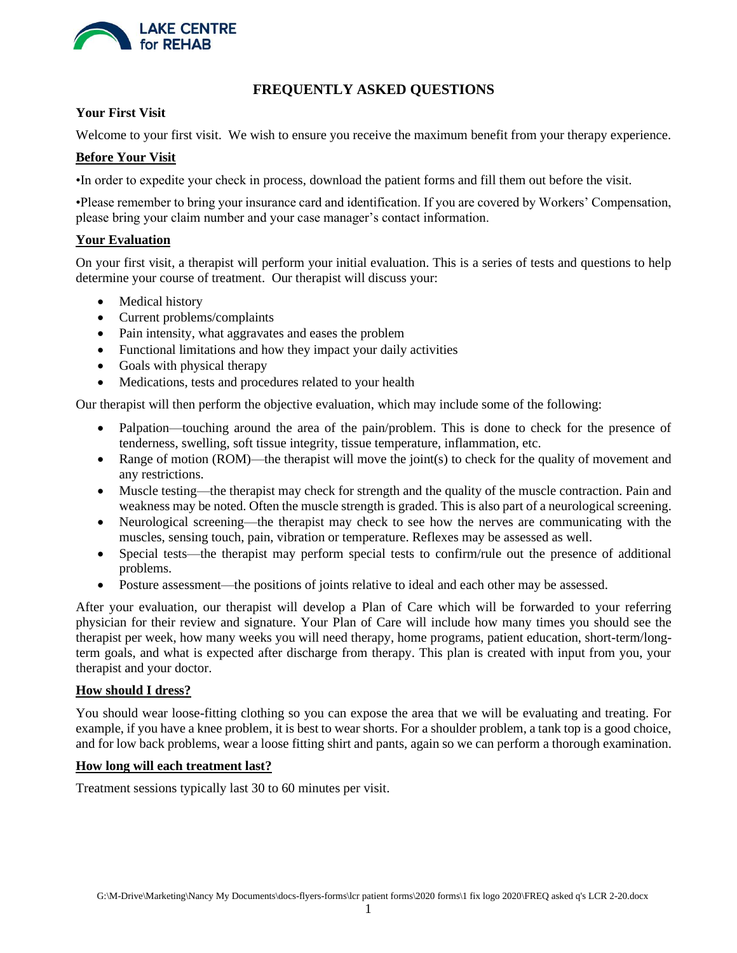

# **FREQUENTLY ASKED QUESTIONS**

# **Your First Visit**

Welcome to your first visit. We wish to ensure you receive the maximum benefit from your therapy experience.

# **Before Your Visit**

•In order to expedite your check in process, download the patient forms and fill them out before the visit.

•Please remember to bring your insurance card and identification. If you are covered by Workers' Compensation, please bring your claim number and your case manager's contact information.

# **Your Evaluation**

On your first visit, a therapist will perform your initial evaluation. This is a series of tests and questions to help determine your course of treatment. Our therapist will discuss your:

- Medical history
- Current problems/complaints
- Pain intensity, what aggravates and eases the problem
- Functional limitations and how they impact your daily activities
- Goals with physical therapy
- Medications, tests and procedures related to your health

Our therapist will then perform the objective evaluation, which may include some of the following:

- Palpation—touching around the area of the pain/problem. This is done to check for the presence of tenderness, swelling, soft tissue integrity, tissue temperature, inflammation, etc.
- Range of motion (ROM)—the therapist will move the joint(s) to check for the quality of movement and any restrictions.
- Muscle testing—the therapist may check for strength and the quality of the muscle contraction. Pain and weakness may be noted. Often the muscle strength is graded. This is also part of a neurological screening.
- Neurological screening—the therapist may check to see how the nerves are communicating with the muscles, sensing touch, pain, vibration or temperature. Reflexes may be assessed as well.
- Special tests—the therapist may perform special tests to confirm/rule out the presence of additional problems.
- Posture assessment—the positions of joints relative to ideal and each other may be assessed.

After your evaluation, our therapist will develop a Plan of Care which will be forwarded to your referring physician for their review and signature. Your Plan of Care will include how many times you should see the therapist per week, how many weeks you will need therapy, home programs, patient education, short-term/longterm goals, and what is expected after discharge from therapy. This plan is created with input from you, your therapist and your doctor.

# **How should I dress?**

You should wear loose-fitting clothing so you can expose the area that we will be evaluating and treating. For example, if you have a knee problem, it is best to wear shorts. For a shoulder problem, a tank top is a good choice, and for low back problems, wear a loose fitting shirt and pants, again so we can perform a thorough examination.

# **How long will each treatment last?**

Treatment sessions typically last 30 to 60 minutes per visit.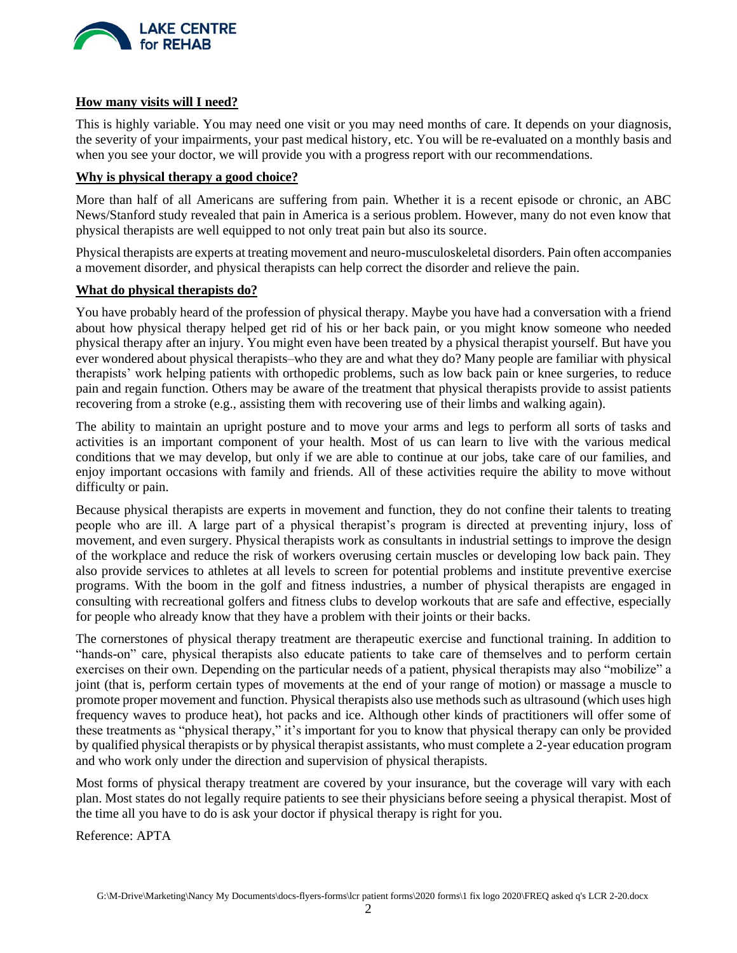

# **How many visits will I need?**

This is highly variable. You may need one visit or you may need months of care. It depends on your diagnosis, the severity of your impairments, your past medical history, etc. You will be re-evaluated on a monthly basis and when you see your doctor, we will provide you with a progress report with our recommendations.

### **Why is physical therapy a good choice?**

More than half of all Americans are suffering from pain. Whether it is a recent episode or chronic, an ABC News/Stanford study revealed that pain in America is a serious problem. However, many do not even know that physical therapists are well equipped to not only treat pain but also its source.

Physical therapists are experts at treating movement and neuro-musculoskeletal disorders. Pain often accompanies a movement disorder, and physical therapists can help correct the disorder and relieve the pain.

#### **What do physical therapists do?**

You have probably heard of the profession of physical therapy. Maybe you have had a conversation with a friend about how physical therapy helped get rid of his or her back pain, or you might know someone who needed physical therapy after an injury. You might even have been treated by a physical therapist yourself. But have you ever wondered about physical therapists–who they are and what they do? Many people are familiar with physical therapists' work helping patients with orthopedic problems, such as low back pain or knee surgeries, to reduce pain and regain function. Others may be aware of the treatment that physical therapists provide to assist patients recovering from a stroke (e.g., assisting them with recovering use of their limbs and walking again).

The ability to maintain an upright posture and to move your arms and legs to perform all sorts of tasks and activities is an important component of your health. Most of us can learn to live with the various medical conditions that we may develop, but only if we are able to continue at our jobs, take care of our families, and enjoy important occasions with family and friends. All of these activities require the ability to move without difficulty or pain.

Because physical therapists are experts in movement and function, they do not confine their talents to treating people who are ill. A large part of a physical therapist's program is directed at preventing injury, loss of movement, and even surgery. Physical therapists work as consultants in industrial settings to improve the design of the workplace and reduce the risk of workers overusing certain muscles or developing low back pain. They also provide services to athletes at all levels to screen for potential problems and institute preventive exercise programs. With the boom in the golf and fitness industries, a number of physical therapists are engaged in consulting with recreational golfers and fitness clubs to develop workouts that are safe and effective, especially for people who already know that they have a problem with their joints or their backs.

The cornerstones of physical therapy treatment are therapeutic exercise and functional training. In addition to "hands-on" care, physical therapists also educate patients to take care of themselves and to perform certain exercises on their own. Depending on the particular needs of a patient, physical therapists may also "mobilize" a joint (that is, perform certain types of movements at the end of your range of motion) or massage a muscle to promote proper movement and function. Physical therapists also use methods such as ultrasound (which uses high frequency waves to produce heat), hot packs and ice. Although other kinds of practitioners will offer some of these treatments as "physical therapy," it's important for you to know that physical therapy can only be provided by qualified physical therapists or by physical therapist assistants, who must complete a 2-year education program and who work only under the direction and supervision of physical therapists.

Most forms of physical therapy treatment are covered by your insurance, but the coverage will vary with each plan. Most states do not legally require patients to see their physicians before seeing a physical therapist. Most of the time all you have to do is ask your doctor if physical therapy is right for you.

Reference: APTA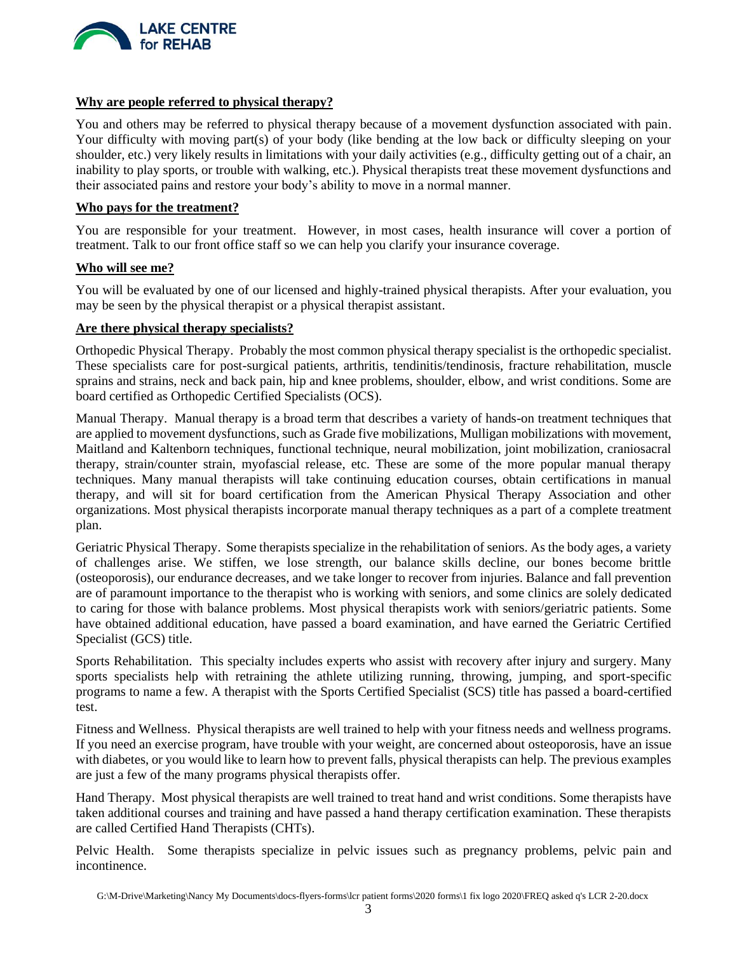

# **Why are people referred to physical therapy?**

You and others may be referred to physical therapy because of a movement dysfunction associated with pain. Your difficulty with moving part(s) of your body (like bending at the low back or difficulty sleeping on your shoulder, etc.) very likely results in limitations with your daily activities (e.g., difficulty getting out of a chair, an inability to play sports, or trouble with walking, etc.). Physical therapists treat these movement dysfunctions and their associated pains and restore your body's ability to move in a normal manner.

#### **Who pays for the treatment?**

You are responsible for your treatment. However, in most cases, health insurance will cover a portion of treatment. Talk to our front office staff so we can help you clarify your insurance coverage.

#### **Who will see me?**

You will be evaluated by one of our licensed and highly-trained physical therapists. After your evaluation, you may be seen by the physical therapist or a physical therapist assistant.

#### **Are there physical therapy specialists?**

Orthopedic Physical Therapy. Probably the most common physical therapy specialist is the orthopedic specialist. These specialists care for post-surgical patients, arthritis, tendinitis/tendinosis, fracture rehabilitation, muscle sprains and strains, neck and back pain, hip and knee problems, shoulder, elbow, and wrist conditions. Some are board certified as Orthopedic Certified Specialists (OCS).

Manual Therapy. Manual therapy is a broad term that describes a variety of hands-on treatment techniques that are applied to movement dysfunctions, such as Grade five mobilizations, Mulligan mobilizations with movement, Maitland and Kaltenborn techniques, functional technique, neural mobilization, joint mobilization, craniosacral therapy, strain/counter strain, myofascial release, etc. These are some of the more popular manual therapy techniques. Many manual therapists will take continuing education courses, obtain certifications in manual therapy, and will sit for board certification from the American Physical Therapy Association and other organizations. Most physical therapists incorporate manual therapy techniques as a part of a complete treatment plan.

Geriatric Physical Therapy. Some therapists specialize in the rehabilitation of seniors. As the body ages, a variety of challenges arise. We stiffen, we lose strength, our balance skills decline, our bones become brittle (osteoporosis), our endurance decreases, and we take longer to recover from injuries. Balance and fall prevention are of paramount importance to the therapist who is working with seniors, and some clinics are solely dedicated to caring for those with balance problems. Most physical therapists work with seniors/geriatric patients. Some have obtained additional education, have passed a board examination, and have earned the Geriatric Certified Specialist (GCS) title.

Sports Rehabilitation. This specialty includes experts who assist with recovery after injury and surgery. Many sports specialists help with retraining the athlete utilizing running, throwing, jumping, and sport-specific programs to name a few. A therapist with the Sports Certified Specialist (SCS) title has passed a board-certified test.

Fitness and Wellness. Physical therapists are well trained to help with your fitness needs and wellness programs. If you need an exercise program, have trouble with your weight, are concerned about osteoporosis, have an issue with diabetes, or you would like to learn how to prevent falls, physical therapists can help. The previous examples are just a few of the many programs physical therapists offer.

Hand Therapy. Most physical therapists are well trained to treat hand and wrist conditions. Some therapists have taken additional courses and training and have passed a hand therapy certification examination. These therapists are called Certified Hand Therapists (CHTs).

Pelvic Health. Some therapists specialize in pelvic issues such as pregnancy problems, pelvic pain and incontinence.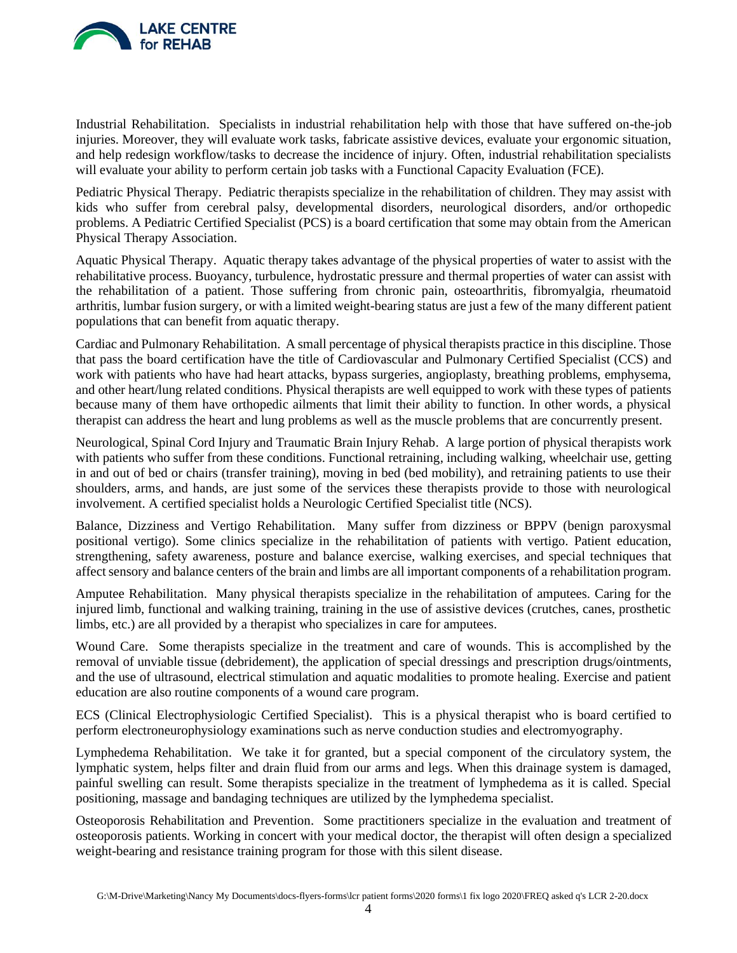

Industrial Rehabilitation. Specialists in industrial rehabilitation help with those that have suffered on-the-job injuries. Moreover, they will evaluate work tasks, fabricate assistive devices, evaluate your ergonomic situation, and help redesign workflow/tasks to decrease the incidence of injury. Often, industrial rehabilitation specialists will evaluate your ability to perform certain job tasks with a Functional Capacity Evaluation (FCE).

Pediatric Physical Therapy. Pediatric therapists specialize in the rehabilitation of children. They may assist with kids who suffer from cerebral palsy, developmental disorders, neurological disorders, and/or orthopedic problems. A Pediatric Certified Specialist (PCS) is a board certification that some may obtain from the American Physical Therapy Association.

Aquatic Physical Therapy. Aquatic therapy takes advantage of the physical properties of water to assist with the rehabilitative process. Buoyancy, turbulence, hydrostatic pressure and thermal properties of water can assist with the rehabilitation of a patient. Those suffering from chronic pain, osteoarthritis, fibromyalgia, rheumatoid arthritis, lumbar fusion surgery, or with a limited weight-bearing status are just a few of the many different patient populations that can benefit from aquatic therapy.

Cardiac and Pulmonary Rehabilitation. A small percentage of physical therapists practice in this discipline. Those that pass the board certification have the title of Cardiovascular and Pulmonary Certified Specialist (CCS) and work with patients who have had heart attacks, bypass surgeries, angioplasty, breathing problems, emphysema, and other heart/lung related conditions. Physical therapists are well equipped to work with these types of patients because many of them have orthopedic ailments that limit their ability to function. In other words, a physical therapist can address the heart and lung problems as well as the muscle problems that are concurrently present.

Neurological, Spinal Cord Injury and Traumatic Brain Injury Rehab. A large portion of physical therapists work with patients who suffer from these conditions. Functional retraining, including walking, wheelchair use, getting in and out of bed or chairs (transfer training), moving in bed (bed mobility), and retraining patients to use their shoulders, arms, and hands, are just some of the services these therapists provide to those with neurological involvement. A certified specialist holds a Neurologic Certified Specialist title (NCS).

Balance, Dizziness and Vertigo Rehabilitation. Many suffer from dizziness or BPPV (benign paroxysmal positional vertigo). Some clinics specialize in the rehabilitation of patients with vertigo. Patient education, strengthening, safety awareness, posture and balance exercise, walking exercises, and special techniques that affect sensory and balance centers of the brain and limbs are all important components of a rehabilitation program.

Amputee Rehabilitation. Many physical therapists specialize in the rehabilitation of amputees. Caring for the injured limb, functional and walking training, training in the use of assistive devices (crutches, canes, prosthetic limbs, etc.) are all provided by a therapist who specializes in care for amputees.

Wound Care. Some therapists specialize in the treatment and care of wounds. This is accomplished by the removal of unviable tissue (debridement), the application of special dressings and prescription drugs/ointments, and the use of ultrasound, electrical stimulation and aquatic modalities to promote healing. Exercise and patient education are also routine components of a wound care program.

ECS (Clinical Electrophysiologic Certified Specialist). This is a physical therapist who is board certified to perform electroneurophysiology examinations such as nerve conduction studies and electromyography.

Lymphedema Rehabilitation. We take it for granted, but a special component of the circulatory system, the lymphatic system, helps filter and drain fluid from our arms and legs. When this drainage system is damaged, painful swelling can result. Some therapists specialize in the treatment of lymphedema as it is called. Special positioning, massage and bandaging techniques are utilized by the lymphedema specialist.

Osteoporosis Rehabilitation and Prevention. Some practitioners specialize in the evaluation and treatment of osteoporosis patients. Working in concert with your medical doctor, the therapist will often design a specialized weight-bearing and resistance training program for those with this silent disease.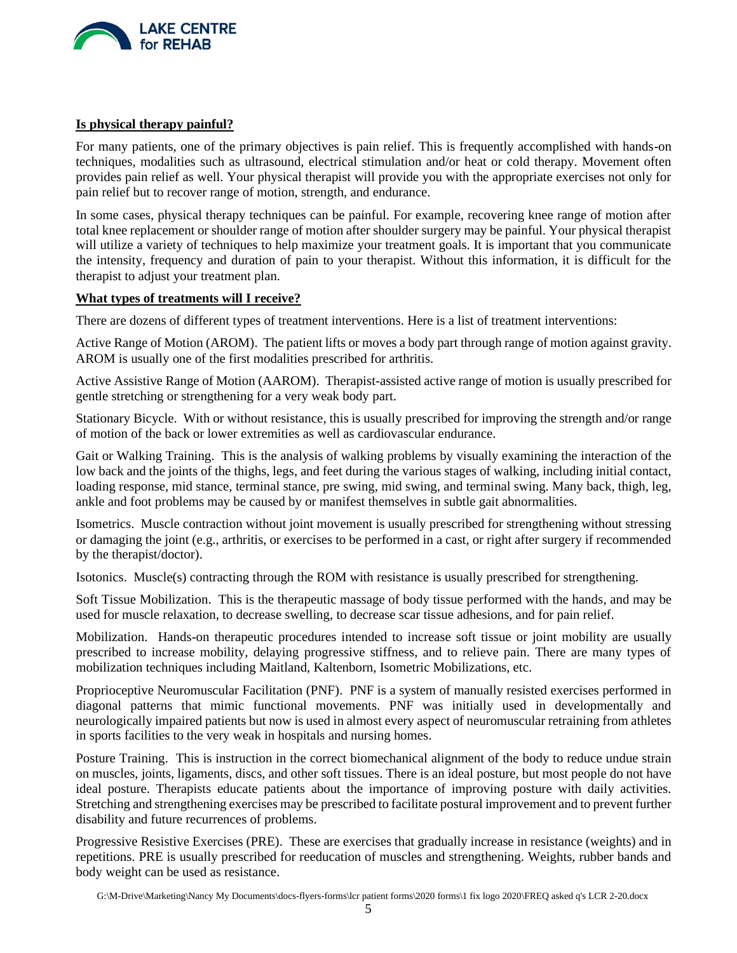

# **Is physical therapy painful?**

For many patients, one of the primary objectives is pain relief. This is frequently accomplished with hands-on techniques, modalities such as ultrasound, electrical stimulation and/or heat or cold therapy. Movement often provides pain relief as well. Your physical therapist will provide you with the appropriate exercises not only for pain relief but to recover range of motion, strength, and endurance.

In some cases, physical therapy techniques can be painful. For example, recovering knee range of motion after total knee replacement or shoulder range of motion after shoulder surgery may be painful. Your physical therapist will utilize a variety of techniques to help maximize your treatment goals. It is important that you communicate the intensity, frequency and duration of pain to your therapist. Without this information, it is difficult for the therapist to adjust your treatment plan.

# **What types of treatments will I receive?**

There are dozens of different types of treatment interventions. Here is a list of treatment interventions:

Active Range of Motion (AROM). The patient lifts or moves a body part through range of motion against gravity. AROM is usually one of the first modalities prescribed for arthritis.

Active Assistive Range of Motion (AAROM). Therapist-assisted active range of motion is usually prescribed for gentle stretching or strengthening for a very weak body part.

Stationary Bicycle. With or without resistance, this is usually prescribed for improving the strength and/or range of motion of the back or lower extremities as well as cardiovascular endurance.

Gait or Walking Training. This is the analysis of walking problems by visually examining the interaction of the low back and the joints of the thighs, legs, and feet during the various stages of walking, including initial contact, loading response, mid stance, terminal stance, pre swing, mid swing, and terminal swing. Many back, thigh, leg, ankle and foot problems may be caused by or manifest themselves in subtle gait abnormalities.

Isometrics. Muscle contraction without joint movement is usually prescribed for strengthening without stressing or damaging the joint (e.g., arthritis, or exercises to be performed in a cast, or right after surgery if recommended by the therapist/doctor).

Isotonics. Muscle(s) contracting through the ROM with resistance is usually prescribed for strengthening.

Soft Tissue Mobilization. This is the therapeutic massage of body tissue performed with the hands, and may be used for muscle relaxation, to decrease swelling, to decrease scar tissue adhesions, and for pain relief.

Mobilization. Hands-on therapeutic procedures intended to increase soft tissue or joint mobility are usually prescribed to increase mobility, delaying progressive stiffness, and to relieve pain. There are many types of mobilization techniques including Maitland, Kaltenborn, Isometric Mobilizations, etc.

Proprioceptive Neuromuscular Facilitation (PNF). PNF is a system of manually resisted exercises performed in diagonal patterns that mimic functional movements. PNF was initially used in developmentally and neurologically impaired patients but now is used in almost every aspect of neuromuscular retraining from athletes in sports facilities to the very weak in hospitals and nursing homes.

Posture Training. This is instruction in the correct biomechanical alignment of the body to reduce undue strain on muscles, joints, ligaments, discs, and other soft tissues. There is an ideal posture, but most people do not have ideal posture. Therapists educate patients about the importance of improving posture with daily activities. Stretching and strengthening exercises may be prescribed to facilitate postural improvement and to prevent further disability and future recurrences of problems.

Progressive Resistive Exercises (PRE). These are exercises that gradually increase in resistance (weights) and in repetitions. PRE is usually prescribed for reeducation of muscles and strengthening. Weights, rubber bands and body weight can be used as resistance.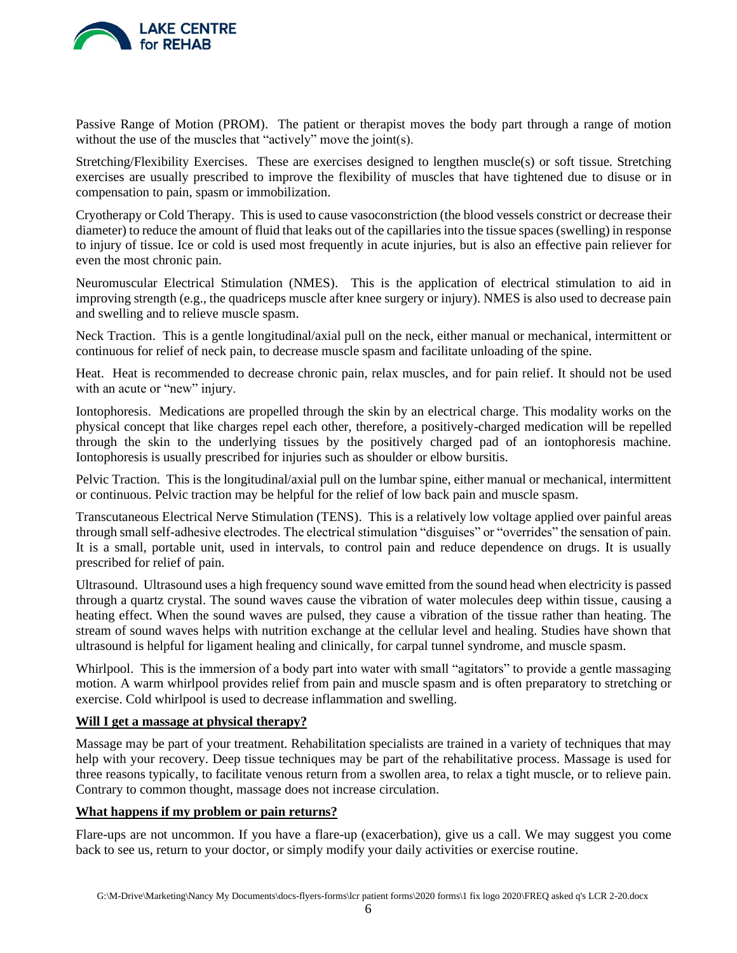

Passive Range of Motion (PROM). The patient or therapist moves the body part through a range of motion without the use of the muscles that "actively" move the joint(s).

Stretching/Flexibility Exercises. These are exercises designed to lengthen muscle(s) or soft tissue. Stretching exercises are usually prescribed to improve the flexibility of muscles that have tightened due to disuse or in compensation to pain, spasm or immobilization.

Cryotherapy or Cold Therapy. This is used to cause vasoconstriction (the blood vessels constrict or decrease their diameter) to reduce the amount of fluid that leaks out of the capillaries into the tissue spaces (swelling) in response to injury of tissue. Ice or cold is used most frequently in acute injuries, but is also an effective pain reliever for even the most chronic pain.

Neuromuscular Electrical Stimulation (NMES). This is the application of electrical stimulation to aid in improving strength (e.g., the quadriceps muscle after knee surgery or injury). NMES is also used to decrease pain and swelling and to relieve muscle spasm.

Neck Traction. This is a gentle longitudinal/axial pull on the neck, either manual or mechanical, intermittent or continuous for relief of neck pain, to decrease muscle spasm and facilitate unloading of the spine.

Heat. Heat is recommended to decrease chronic pain, relax muscles, and for pain relief. It should not be used with an acute or "new" injury.

Iontophoresis. Medications are propelled through the skin by an electrical charge. This modality works on the physical concept that like charges repel each other, therefore, a positively-charged medication will be repelled through the skin to the underlying tissues by the positively charged pad of an iontophoresis machine. Iontophoresis is usually prescribed for injuries such as shoulder or elbow bursitis.

Pelvic Traction. This is the longitudinal/axial pull on the lumbar spine, either manual or mechanical, intermittent or continuous. Pelvic traction may be helpful for the relief of low back pain and muscle spasm.

Transcutaneous Electrical Nerve Stimulation (TENS). This is a relatively low voltage applied over painful areas through small self-adhesive electrodes. The electrical stimulation "disguises" or "overrides" the sensation of pain. It is a small, portable unit, used in intervals, to control pain and reduce dependence on drugs. It is usually prescribed for relief of pain.

Ultrasound. Ultrasound uses a high frequency sound wave emitted from the sound head when electricity is passed through a quartz crystal. The sound waves cause the vibration of water molecules deep within tissue, causing a heating effect. When the sound waves are pulsed, they cause a vibration of the tissue rather than heating. The stream of sound waves helps with nutrition exchange at the cellular level and healing. Studies have shown that ultrasound is helpful for ligament healing and clinically, for carpal tunnel syndrome, and muscle spasm.

Whirlpool. This is the immersion of a body part into water with small "agitators" to provide a gentle massaging motion. A warm whirlpool provides relief from pain and muscle spasm and is often preparatory to stretching or exercise. Cold whirlpool is used to decrease inflammation and swelling.

# **Will I get a massage at physical therapy?**

Massage may be part of your treatment. Rehabilitation specialists are trained in a variety of techniques that may help with your recovery. Deep tissue techniques may be part of the rehabilitative process. Massage is used for three reasons typically, to facilitate venous return from a swollen area, to relax a tight muscle, or to relieve pain. Contrary to common thought, massage does not increase circulation.

# **What happens if my problem or pain returns?**

Flare-ups are not uncommon. If you have a flare-up (exacerbation), give us a call. We may suggest you come back to see us, return to your doctor, or simply modify your daily activities or exercise routine.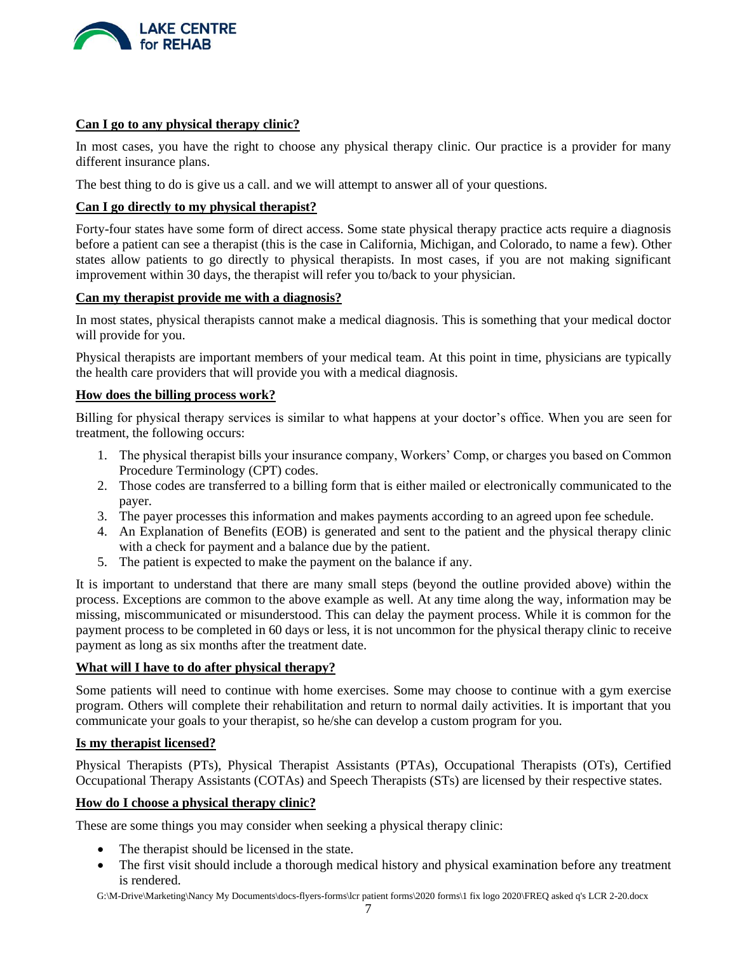

#### **Can I go to any physical therapy clinic?**

In most cases, you have the right to choose any physical therapy clinic. Our practice is a provider for many different insurance plans.

The best thing to do is give us a call. and we will attempt to answer all of your questions.

#### **Can I go directly to my physical therapist?**

Forty-four states have some form of direct access. Some state physical therapy practice acts require a diagnosis before a patient can see a therapist (this is the case in California, Michigan, and Colorado, to name a few). Other states allow patients to go directly to physical therapists. In most cases, if you are not making significant improvement within 30 days, the therapist will refer you to/back to your physician.

### **Can my therapist provide me with a diagnosis?**

In most states, physical therapists cannot make a medical diagnosis. This is something that your medical doctor will provide for you.

Physical therapists are important members of your medical team. At this point in time, physicians are typically the health care providers that will provide you with a medical diagnosis.

#### **How does the billing process work?**

Billing for physical therapy services is similar to what happens at your doctor's office. When you are seen for treatment, the following occurs:

- 1. The physical therapist bills your insurance company, Workers' Comp, or charges you based on Common Procedure Terminology (CPT) codes.
- 2. Those codes are transferred to a billing form that is either mailed or electronically communicated to the payer.
- 3. The payer processes this information and makes payments according to an agreed upon fee schedule.
- 4. An Explanation of Benefits (EOB) is generated and sent to the patient and the physical therapy clinic with a check for payment and a balance due by the patient.
- 5. The patient is expected to make the payment on the balance if any.

It is important to understand that there are many small steps (beyond the outline provided above) within the process. Exceptions are common to the above example as well. At any time along the way, information may be missing, miscommunicated or misunderstood. This can delay the payment process. While it is common for the payment process to be completed in 60 days or less, it is not uncommon for the physical therapy clinic to receive payment as long as six months after the treatment date.

#### **What will I have to do after physical therapy?**

Some patients will need to continue with home exercises. Some may choose to continue with a gym exercise program. Others will complete their rehabilitation and return to normal daily activities. It is important that you communicate your goals to your therapist, so he/she can develop a custom program for you.

#### **Is my therapist licensed?**

Physical Therapists (PTs), Physical Therapist Assistants (PTAs), Occupational Therapists (OTs), Certified Occupational Therapy Assistants (COTAs) and Speech Therapists (STs) are licensed by their respective states.

#### **How do I choose a physical therapy clinic?**

These are some things you may consider when seeking a physical therapy clinic:

- The therapist should be licensed in the state.
- The first visit should include a thorough medical history and physical examination before any treatment is rendered.

G:\M-Drive\Marketing\Nancy My Documents\docs-flyers-forms\lcr patient forms\2020 forms\1 fix logo 2020\FREQ asked q's LCR 2-20.docx